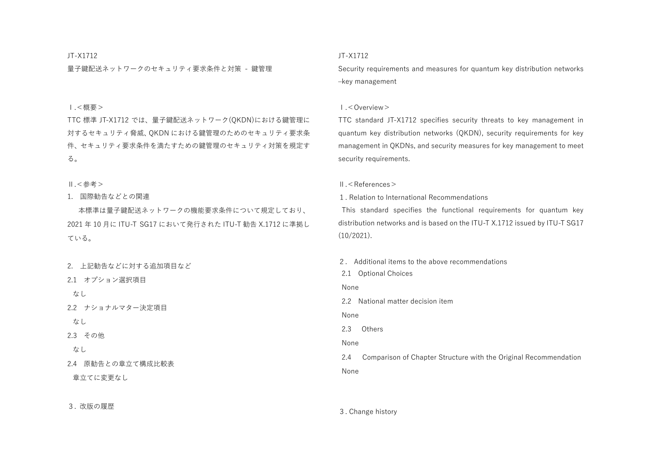### JT-X1712

量子鍵配送ネットワークのセキュリティ要求条件と対策 - 鍵管理

# Ⅰ.<概要>

TTC 標準 JT-X1712 では、量子鍵配送ネットワーク(QKDN)における鍵管理に 対するセキュリティ脅威、QKDN における鍵管理のためのセキュリティ要求条 件、セキュリティ要求条件を満たすための鍵管理のセキュリティ対策を規定す る。

Ⅱ.<参考>

1. 国際勧告などとの関連

本標準は量子鍵配送ネットワークの機能要求条件について規定しており、 2021 年 10 月に ITU-T SG17 において発行された ITU-T 勧告 X.1712 に準拠し ている。

2. 上記勧告などに対する追加項目など

2.1 オプション選択項目

なし

2.2 ナショナルマター決定項目

なし

2.3 その他

なし

2.4 原勧告との章立て構成比較表

章立てに変更なし

3. 改版の履歴

# JT-X1712

Security requirements and measures for quantum key distribution networks –key management

## Ⅰ.<Overview>

TTC standard JT-X1712 specifies security threats to key management in quantum key distribution networks (QKDN), security requirements for key management in QKDNs, and security measures for key management to meet security requirements.

## Ⅱ.<References>

1. Relation to International Recommendations

This standard specifies the functional requirements for quantum key distribution networks and is based on the ITU-T X.1712 issued by ITU-T SG17 (10/2021).

2. Additional items to the above recommendations

2.1 Optional Choices

None

2.2 National matter decision item

None

2.3 Others

None

2.4 Comparison of Chapter Structure with the Original Recommendation None

3. Change history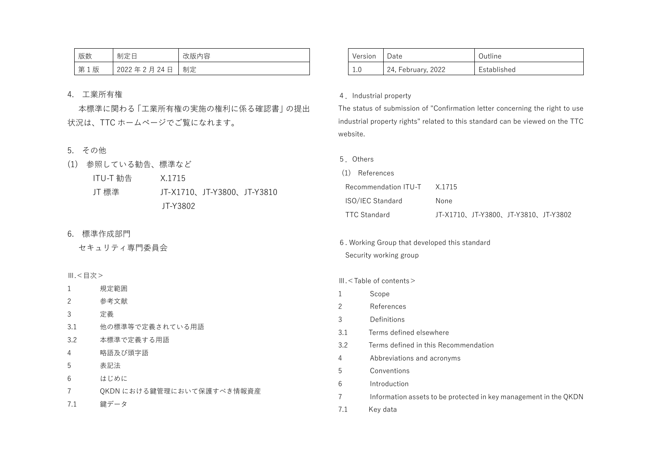| 版数                          | 制定日        | 改版内容 |
|-----------------------------|------------|------|
| 第<br>版<br>$\mathbf{1}$<br>ᅩ | 2022年2月24日 | 制定   |

# 4. 工業所有権

本標準に関わる「工業所有権の実施の権利に係る確認書」の提出 状況は、TTC ホームページでご覧になれます。

# 5. その他

| (1) 参照している勧告、標準など |          |                            |  |
|-------------------|----------|----------------------------|--|
| ITU-T 勧告          | X.1715   |                            |  |
| JT 標準             |          | JT-X1710、JT-Y3800、JT-Y3810 |  |
|                   | JT-Y3802 |                            |  |

6. 標準作成部門

セキュリティ専門委員会

Ⅲ.<目次>

- 1 規定範囲
- 2 参考文献
- 3 定義
- 3.1 他の標準等で定義されている用語
- 3.2 本標準で定義する用語
- 4 略語及び頭字語
- 5 表記法
- 6 はじめに
- 7 QKDN における鍵管理において保護すべき情報資産
- 7.1 鍵データ

| Version | Date               | Outline     |
|---------|--------------------|-------------|
| 1.0     | 24, February, 2022 | Established |

# 4.Industrial property

The status of submission of "Confirmation letter concerning the right to use industrial property rights" related to this standard can be viewed on the TTC website.

5.Others

| (1) References              |                                     |  |  |  |
|-----------------------------|-------------------------------------|--|--|--|
| Recommendation ITU-T X.1715 |                                     |  |  |  |
| <b>ISO/IEC Standard</b>     | None                                |  |  |  |
| TTC Standard                | JT-X1710、JT-Y3800、JT-Y3810、JT-Y3802 |  |  |  |

6. Working Group that developed this standard Security working group

### Ⅲ.<Table of contents>

- 1 Scope
- 2 References
- 3 Definitions
- 3.1 Terms defined elsewhere
- 3.2 Terms defined in this Recommendation
- 4 Abbreviations and acronyms
- 5 Conventions
- 6 Introduction
- 7 Information assets to be protected in key management in the QKDN
- 7.1 Key data